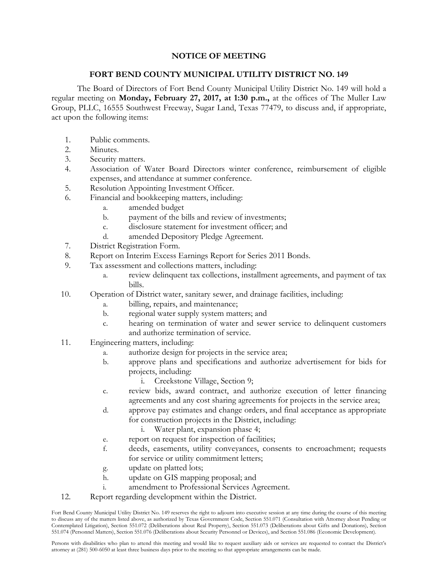## **NOTICE OF MEETING**

## **FORT BEND COUNTY MUNICIPAL UTILITY DISTRICT NO. 149**

The Board of Directors of Fort Bend County Municipal Utility District No. 149 will hold a regular meeting on **Monday, February 27, 2017, at 1:30 p.m.,** at the offices of The Muller Law Group, PLLC, 16555 Southwest Freeway, Sugar Land, Texas 77479, to discuss and, if appropriate, act upon the following items:

- 1. Public comments.
- 2. Minutes.
- 3. Security matters.
- 4. Association of Water Board Directors winter conference, reimbursement of eligible expenses, and attendance at summer conference.
- 5. Resolution Appointing Investment Officer.
- 6. Financial and bookkeeping matters, including:
	- a. amended budget
	- b. payment of the bills and review of investments;
	- c. disclosure statement for investment officer; and
	- d. amended Depository Pledge Agreement.
- 7. District Registration Form.
- 8. Report on Interim Excess Earnings Report for Series 2011 Bonds.
- 9. Tax assessment and collections matters, including:
	- a. review delinquent tax collections, installment agreements, and payment of tax bills.
- 10. Operation of District water, sanitary sewer, and drainage facilities, including:
	- a. billing, repairs, and maintenance;
	- b. regional water supply system matters; and
	- c. hearing on termination of water and sewer service to delinquent customers and authorize termination of service.
- 11. Engineering matters, including:
	- a. authorize design for projects in the service area;
	- b. approve plans and specifications and authorize advertisement for bids for projects, including:
		- i. Creekstone Village, Section 9;
	- c. review bids, award contract, and authorize execution of letter financing agreements and any cost sharing agreements for projects in the service area;
	- d. approve pay estimates and change orders, and final acceptance as appropriate for construction projects in the District, including:
		- i. Water plant, expansion phase 4;
	- e. report on request for inspection of facilities;
	- f. deeds, easements, utility conveyances, consents to encroachment; requests for service or utility commitment letters;
	- g. update on platted lots;
	- h. update on GIS mapping proposal; and
	- i. amendment to Professional Services Agreement.
- 12. Report regarding development within the District.

Fort Bend County Municipal Utility District No. 149 reserves the right to adjourn into executive session at any time during the course of this meeting to discuss any of the matters listed above, as authorized by Texas Government Code, Section 551.071 (Consultation with Attorney about Pending or Contemplated Litigation), Section 551.072 (Deliberations about Real Property), Section 551.073 (Deliberations about Gifts and Donations), Section 551.074 (Personnel Matters), Section 551.076 (Deliberations about Security Personnel or Devices), and Section 551.086 (Economic Development).

Persons with disabilities who plan to attend this meeting and would like to request auxiliary aids or services are requested to contact the District's attorney at (281) 500-6050 at least three business days prior to the meeting so that appropriate arrangements can be made.